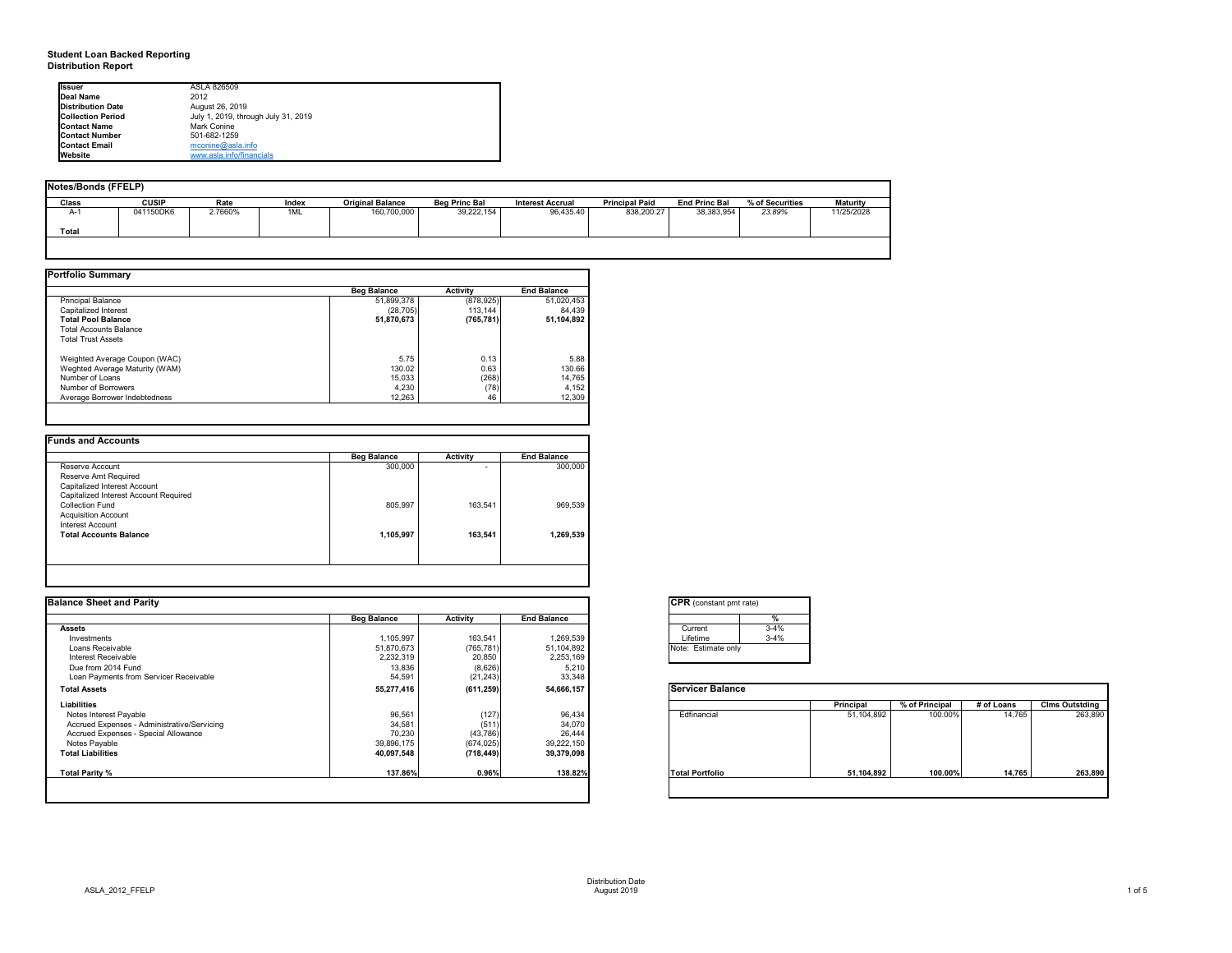# **Student Loan Backed Reporting Distribution Report**

## **Notes/Bonds (FFELP)**

| Notes/Bonds (FFELP) |              |         |       |                         |                      |                         |                       |                      |                 |                 |
|---------------------|--------------|---------|-------|-------------------------|----------------------|-------------------------|-----------------------|----------------------|-----------------|-----------------|
| <b>Class</b>        | <b>CUSIP</b> | Rate    | Index | <b>Original Balance</b> | <b>Beg Princ Bal</b> | <b>Interest Accrual</b> | <b>Principal Paid</b> | <b>End Princ Bal</b> | % of Securities | <b>Maturity</b> |
| $A-1$               | 041150DK6    | 2.7660% | 1ML   | 160,700,000             | 39,222,154           | 96,435.40               | 838,200.27            | 38,383,954           | 23.89%          | 11/25/2028      |
| Total               |              |         |       |                         |                      |                         |                       |                      |                 |                 |
|                     |              |         |       |                         |                      |                         |                       |                      |                 |                 |

|                                | <b>Beg Balance</b> | <b>Activity</b> | <b>End Balance</b> |
|--------------------------------|--------------------|-----------------|--------------------|
| <b>Principal Balance</b>       | 51,899,378         | (878, 925)      | 51,020,453         |
| Capitalized Interest           | (28, 705)          | 113,144         | 84,439             |
| <b>Total Pool Balance</b>      | 51,870,673         | (765, 781)      | 51,104,892         |
| <b>Total Accounts Balance</b>  |                    |                 |                    |
| <b>Total Trust Assets</b>      |                    |                 |                    |
| Weighted Average Coupon (WAC)  | 5.75               | 0.13            | 5.88               |
| Weghted Average Maturity (WAM) | 130.02             | 0.63            | 130.66             |
| Number of Loans                | 15,033             | (268)           | 14,765             |
| Number of Borrowers            | 4,230              | (78)            | 4,152              |
| Average Borrower Indebtedness  | 12,263             | 46              | 12,309             |

|                                       | <b>Beg Balance</b> | <b>Activity</b>          | <b>End Balance</b> |
|---------------------------------------|--------------------|--------------------------|--------------------|
| Reserve Account                       | 300,000            | $\overline{\phantom{0}}$ | 300,000            |
| Reserve Amt Required                  |                    |                          |                    |
| Capitalized Interest Account          |                    |                          |                    |
| Capitalized Interest Account Required |                    |                          |                    |
| <b>Collection Fund</b>                | 805,997            | 163,541                  | 969,539            |
| <b>Acquisition Account</b>            |                    |                          |                    |
| Interest Account                      |                    |                          |                    |
| <b>Total Accounts Balance</b>         | 1,105,997          | 163,541                  | 1,269,539          |
|                                       |                    |                          |                    |
|                                       |                    |                          |                    |

| Ilssuer                   | ASLA 826509                         |
|---------------------------|-------------------------------------|
| Deal Name                 | 2012                                |
| <b>IDistribution Date</b> | August 26, 2019                     |
| <b>Collection Period</b>  | July 1, 2019, through July 31, 2019 |
| <b>Contact Name</b>       | <b>Mark Conine</b>                  |
| <b>IContact Number</b>    | 501-682-1259                        |
| <b>Contact Email</b>      | mconine@asla.info                   |
| <b>I</b> Website          | www.asla.info/financials            |

| <b>Balance Sheet and Parity</b>             |                    |                 |                    | <b>CPR</b> (constant pmt rate) |          |            |                |            |                       |
|---------------------------------------------|--------------------|-----------------|--------------------|--------------------------------|----------|------------|----------------|------------|-----------------------|
|                                             | <b>Beg Balance</b> | <b>Activity</b> | <b>End Balance</b> |                                |          |            |                |            |                       |
| <b>Assets</b>                               |                    |                 |                    | Current                        | $3 - 4%$ |            |                |            |                       |
| Investments                                 | 1,105,997          | 163,541         | 1,269,539          | Lifetime                       | $3 - 4%$ |            |                |            |                       |
| Loans Receivable                            | 51,870,673         | (765, 781)      | 51,104,892         | Note: Estimate only            |          |            |                |            |                       |
| Interest Receivable                         | 2,232,319          | 20,850          | 2,253,169          |                                |          |            |                |            |                       |
| Due from 2014 Fund                          | 13,836             | (8,626)         | 5,210              |                                |          |            |                |            |                       |
| Loan Payments from Servicer Receivable      | 54,591             | (21, 243)       | 33,348             |                                |          |            |                |            |                       |
| <b>Total Assets</b>                         | 55,277,416         | (611, 259)      | 54,666,157         | <b>Servicer Balance</b>        |          |            |                |            |                       |
| <b>Liabilities</b>                          |                    |                 |                    |                                |          | Principal  | % of Principal | # of Loans | <b>Clms Outstding</b> |
| Notes Interest Payable                      | 96,561             | (127)           | 96,434             | Edfinancial                    |          | 51,104,892 | 100.00%        | 14,765     | 263,890               |
| Accrued Expenses - Administrative/Servicing | 34,581             | (511)           | 34,070             |                                |          |            |                |            |                       |
| Accrued Expenses - Special Allowance        | 70,230             | (43, 786)       | 26,444             |                                |          |            |                |            |                       |
| Notes Payable                               | 39,896,175         | (674, 025)      | 39,222,150         |                                |          |            |                |            |                       |
| <b>Total Liabilities</b>                    | 40,097,548         | (718, 449)      | 39,379,098         |                                |          |            |                |            |                       |
| <b>Total Parity %</b>                       | 137.86%            | 0.96%           | 138.82%            | <b>Total Portfolio</b>         |          | 51,104,892 | 100.00%        | 14,765     | 263,890               |
|                                             |                    |                 |                    |                                |          |            |                |            |                       |

| $\mathsf{CPR}$ ( |   |
|------------------|---|
|                  |   |
| Curr             |   |
| Lifet            |   |
| Note:            | F |
|                  |   |
|                  |   |



| onstant pmt rate) |          |  |  |  |  |
|-------------------|----------|--|--|--|--|
|                   | %        |  |  |  |  |
| ent               | $3 - 4%$ |  |  |  |  |
| me                | $3 - 4%$ |  |  |  |  |
| stimate only      |          |  |  |  |  |
|                   |          |  |  |  |  |

|          | <b>Principal</b> | % of Principal | $#$ of Loans | <b>Clms Outstding</b> |
|----------|------------------|----------------|--------------|-----------------------|
| ancial   | 51,104,892       | 100.00%        | 14,765       | 263,890               |
| ortfolio | 51,104,892       | 100.00%        | 14,765       | 263,890               |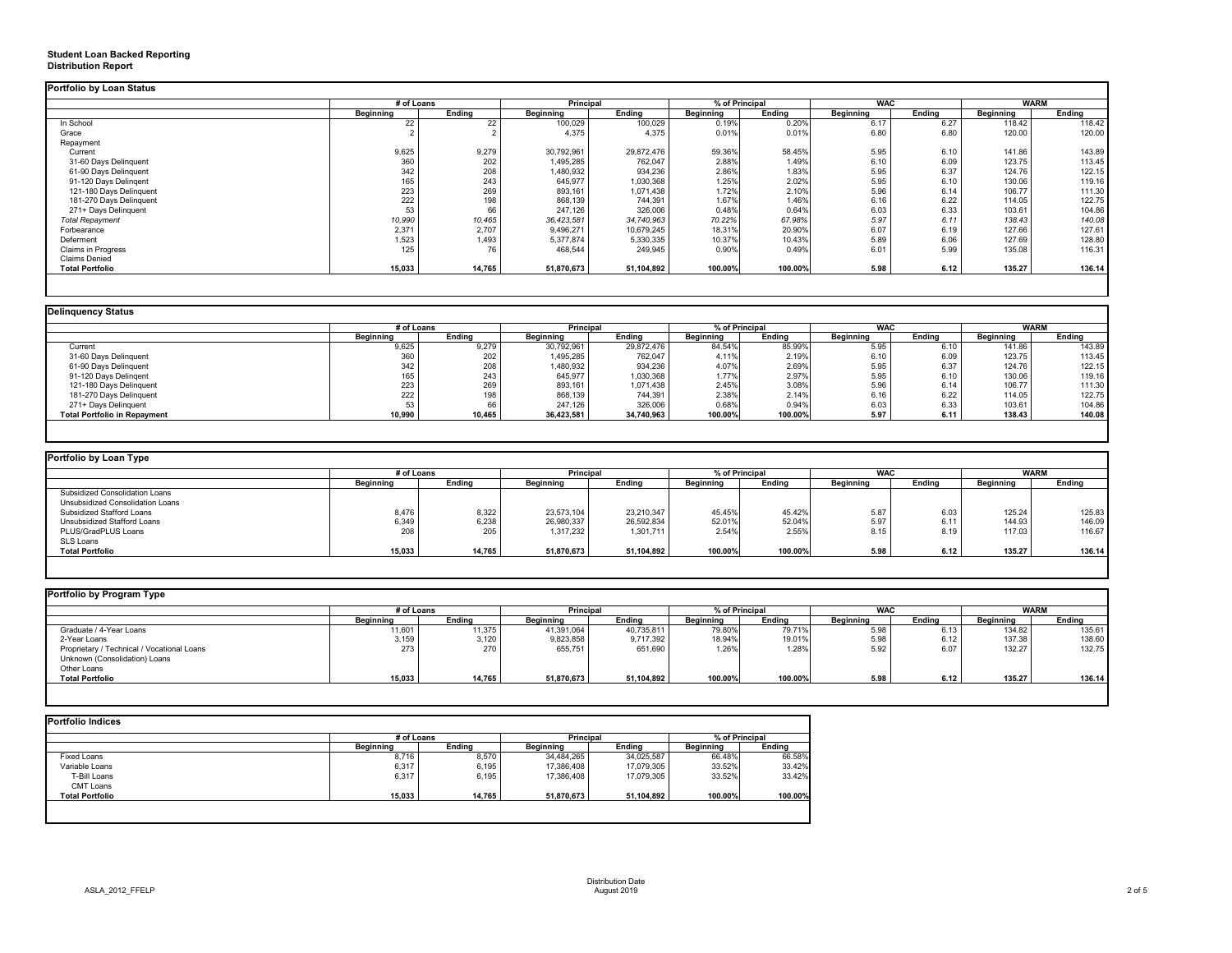# **Student Loan Backed Reporting Distribution Report**

|                           |                  | # of Loans    |                  | <b>Principal</b> |                  | % of Principal |                  | <b>WAC</b>    |                  | <b>WARM</b> |  |
|---------------------------|------------------|---------------|------------------|------------------|------------------|----------------|------------------|---------------|------------------|-------------|--|
|                           | <b>Beginning</b> | <b>Ending</b> | <b>Beginning</b> | <b>Ending</b>    | <b>Beginning</b> | <b>Ending</b>  | <b>Beginning</b> | <b>Ending</b> | <b>Beginning</b> | Ending      |  |
| In School                 | 22               | 22            | 100,029          | 100,029          | 0.19%            | 0.20%          | 6.17             | 6.27          | 118.42           | 118.42      |  |
| Grace                     |                  |               | 4,375            | 4,375            | 0.01%            | 0.01%          | 6.80             | 6.80          | 120.00           | 120.00      |  |
| Repayment                 |                  |               |                  |                  |                  |                |                  |               |                  |             |  |
| Current                   | 9,625            | 9,279         | 30,792,961       | 29,872,476       | 59.36%           | 58.45%         | 5.95             | 6.10          | 141.86           | 143.89      |  |
| 31-60 Days Delinquent     | 360              | 202           | 1,495,285        | 762,047          | 2.88%            | 1.49%          | 6.10             | 6.09          | 123.75           | 113.45      |  |
| 61-90 Days Delinquent     | 342              | 208           | 1,480,932        | 934,236          | 2.86%            | 1.83%          | 5.95             | 6.37          | 124.76           | 122.15      |  |
| 91-120 Days Delingent     | 165              | 243           | 645,977          | 1,030,368        | 1.25%            | 2.02%          | 5.95             | 6.10          | 130.06           | 119.16      |  |
| 121-180 Days Delinquent   | 223              | 269           | 893,161          | 1,071,438        | 1.72%            | 2.10%          | 5.96             | 6.14          | 106.77           | 111.30      |  |
| 181-270 Days Delinquent   | 222              | 198           | 868,139          | 744,391          | 1.67%            | 1.46%          | 6.16             | 6.22          | 114.05           | 122.75      |  |
| 271+ Days Delinquent      | 53               | 66            | 247,126          | 326,006          | 0.48%            | 0.64%          | 6.03             | 6.33          | 103.61           | 104.86      |  |
| <b>Total Repayment</b>    | 10,990           | 10,465        | 36,423,581       | 34,740,963       | 70.22%           | 67.98%         | 5.97             | 6.11          | 138.43           | 140.08      |  |
| Forbearance               | 2,371            | 2,707         | 9,496,271        | 10,679,245       | 18.31%           | 20.90%         | 6.07             | 6.19          | 127.66           | 127.61      |  |
| Deferment                 | 1,523            | 1,493         | 5,377,874        | 5,330,335        | 10.37%           | 10.43%         | 5.89             | 6.06          | 127.69           | 128.80      |  |
| <b>Claims in Progress</b> | 125              | 76            | 468,544          | 249,945          | 0.90%            | 0.49%          | 6.01             | 5.99          | 135.08           | 116.31      |  |
| <b>Claims Denied</b>      |                  |               |                  |                  |                  |                |                  |               |                  |             |  |
| <b>Total Portfolio</b>    | 15,033           | 14,765        | 51,870,673       | 51,104,892       | 100.00%          | 100.00%        | 5.98             | 6.12          | 135.27           | 136.14      |  |

| <b>Delinquency Status</b>           |                  |               |                  |               |                  |               |                  |               |                  |               |
|-------------------------------------|------------------|---------------|------------------|---------------|------------------|---------------|------------------|---------------|------------------|---------------|
|                                     | # of Loans       |               | <b>Principal</b> |               | % of Principal   |               | <b>WAC</b>       |               | <b>WARM</b>      |               |
|                                     | <b>Beginning</b> | <b>Ending</b> | <b>Beginning</b> | <b>Ending</b> | <b>Beginning</b> | <b>Ending</b> | <b>Beginning</b> | <b>Ending</b> | <b>Beginning</b> | <b>Ending</b> |
| Current                             | 9,625            | 9,279         | 30,792,961       | 29,872,476    | 84.54%           | 85.99%        | 5.95             | 6.10          | 141.86           | 143.89        |
| 31-60 Days Delinquent               | 360              | 202           | 1,495,285        | 762,047       | 4.11%            | 2.19%         | 6.10             | 6.09          | 123.75           | 113.45        |
| 61-90 Days Delinquent               | 342              | 208           | 1,480,932        | 934,236       | 4.07%            | 2.69%         | 5.95             | 6.37          | 124.76           | 122.15        |
| 91-120 Days Delingent               | 165              | 243           | 645,977          | 1,030,368     | 1.77%            | 2.97%         | 5.95             | 6.10          | 130.06           | 119.16        |
| 121-180 Days Delinquent             | 223              | 269           | 893,161          | 1,071,438     | 2.45%            | 3.08%         | 5.96             | 6.14          | 106.77           | 111.30        |
| 181-270 Days Delinquent             | 222              | 198           | 868,139          | 744,391       | 2.38%            | 2.14%         | 6.16             | 6.22          | 114.05           | 122.75        |
| 271+ Days Delinquent                |                  | 66            | 247,126          | 326,006       | 0.68%            | 0.94%         | 6.03             | 6.33          | 103.61           | 104.86        |
| <b>Total Portfolio in Repayment</b> | 10,990           | 10,465        | 36,423,581       | 34,740,963    | 100.00%          | 100.00%       | 5.97             | 6.11          | 138.43           | 140.08        |
|                                     |                  |               |                  |               |                  |               |                  |               |                  |               |

|                                         |                  | # of Loans    |                  | <b>Principal</b> |                  | % of Principal |                  | <b>WAC</b>    | <b>WARM</b>      |               |
|-----------------------------------------|------------------|---------------|------------------|------------------|------------------|----------------|------------------|---------------|------------------|---------------|
|                                         | <b>Beginning</b> | <b>Ending</b> | <b>Beginning</b> | <b>Ending</b>    | <b>Beginning</b> | <b>Ending</b>  | <b>Beginning</b> | <b>Ending</b> | <b>Beginning</b> | <b>Ending</b> |
| <b>Subsidized Consolidation Loans</b>   |                  |               |                  |                  |                  |                |                  |               |                  |               |
| <b>Unsubsidized Consolidation Loans</b> |                  |               |                  |                  |                  |                |                  |               |                  |               |
| <b>Subsidized Stafford Loans</b>        | 8,476            | 8,322         | 23,573,104       | 23,210,347       | 45.45%           | 45.42%         | 5.87             | 6.03          | 125.24           | 125.83        |
| Unsubsidized Stafford Loans             | 6,349            | 6,238         | 26,980,337       | 26,592,834       | 52.01%           | 52.04%         | 5.97             | 6.11          | 144.93           | 146.09        |
| PLUS/GradPLUS Loans                     | 208              | 205           | 1,317,232        | 1,301,711        | 2.54%            | 2.55%          | 8.15             | 8.19          | 117.03           | 116.67        |
| SLS Loans                               |                  |               |                  |                  |                  |                |                  |               |                  |               |
| <b>Total Portfolio</b>                  | 15,033           | 14,765        | 51,870,673       | 51,104,892       | 100.00%          | 100.00%        | 5.98             | 6.12          | 135.27           | 136.14        |

|                                            |                  | # of Loans    |                  | <b>Principal</b> |                  | % of Principal |                  | <b>WAC</b>    |                  | <b>WARM</b>   |  |
|--------------------------------------------|------------------|---------------|------------------|------------------|------------------|----------------|------------------|---------------|------------------|---------------|--|
|                                            | <b>Beginning</b> | <b>Ending</b> | <b>Beginning</b> | <b>Ending</b>    | <b>Beginning</b> | <b>Ending</b>  | <b>Beginning</b> | <b>Ending</b> | <b>Beginning</b> | <b>Ending</b> |  |
| Graduate / 4-Year Loans                    | 11,601           | 11,375        | 41,391,064       | 40,735,811       | 79.80%           | 79.71%         | 5.98             | 6.13          | 134.82           | 135.61        |  |
| 2-Year Loans                               | 3,159            | 3,120         | 9,823,858        | 9,717,392        | 18.94%           | 19.01%         | 5.98             | 6.12          | 137.38           | 138.60        |  |
| Proprietary / Technical / Vocational Loans | 273              | 270           | 655,751          | 651,690          | 1.26%            | 1.28%          | 5.92             | 6.07          | 132.27           | 132.75        |  |
| Unknown (Consolidation) Loans              |                  |               |                  |                  |                  |                |                  |               |                  |               |  |
| Other Loans                                |                  |               |                  |                  |                  |                |                  |               |                  |               |  |
| <b>Total Portfolio</b>                     | 15,033           | 14,765        | 51,870,673       | 51,104,892       | 100.00%          | 100.00%        | 5.98             | 6.12          | 135.27           | 136.14        |  |

|                        | # of Loans       |               | <b>Principal</b> |               | % of Principal   |               |
|------------------------|------------------|---------------|------------------|---------------|------------------|---------------|
|                        | <b>Beginning</b> | <b>Ending</b> | <b>Beginning</b> | <b>Ending</b> | <b>Beginning</b> | <b>Ending</b> |
| <b>Fixed Loans</b>     | 8,716            | 8,570         | 34,484,265       | 34,025,587    | 66.48%           | 66.58%        |
| Variable Loans         | 6,317            | 6,195         | 17,386,408       | 17,079,305    | 33.52%           | 33.42%        |
| T-Bill Loans           | 6,317            | 6,195         | 17,386,408       | 17,079,305    | 33.52%           | 33.42%        |
| <b>CMT Loans</b>       |                  |               |                  |               |                  |               |
| <b>Total Portfolio</b> | 15,033           | 14,765        | 51,870,673       | 51,104,892    | 100.00%          | 100.00%       |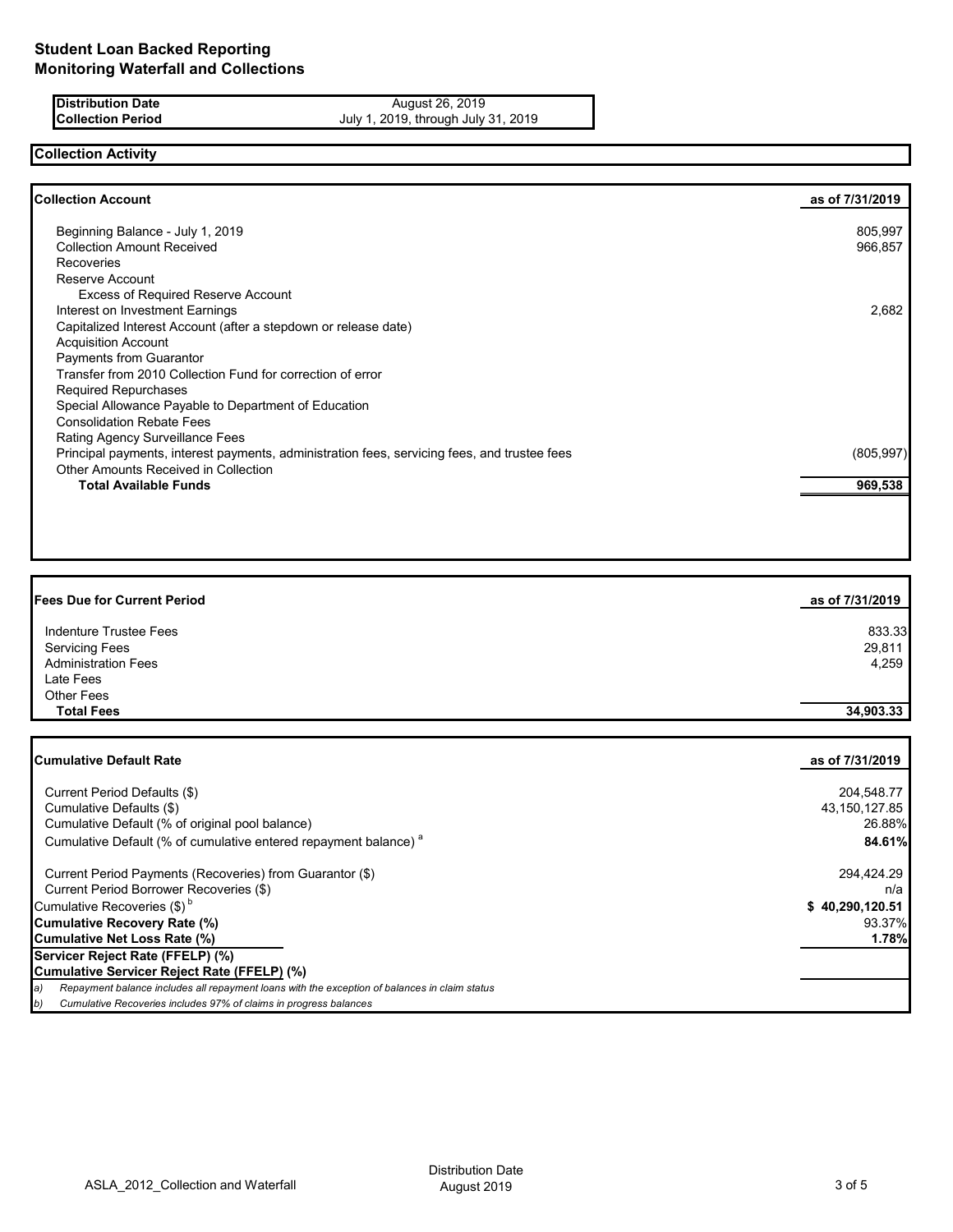**Distribution Date** August 26, 2019 **Collection Period** July 1, 2019, through July 31, 2019

# **Collection Activity**

| <b>Collection Account</b>                                                                    | as of 7/31/2019 |
|----------------------------------------------------------------------------------------------|-----------------|
|                                                                                              | 805,997         |
| Beginning Balance - July 1, 2019<br><b>Collection Amount Received</b>                        |                 |
|                                                                                              | 966,857         |
| Recoveries                                                                                   |                 |
| Reserve Account                                                                              |                 |
| <b>Excess of Required Reserve Account</b>                                                    |                 |
| Interest on Investment Earnings                                                              | 2,682           |
| Capitalized Interest Account (after a stepdown or release date)                              |                 |
| <b>Acquisition Account</b>                                                                   |                 |
| Payments from Guarantor                                                                      |                 |
| Transfer from 2010 Collection Fund for correction of error                                   |                 |
| <b>Required Repurchases</b>                                                                  |                 |
| Special Allowance Payable to Department of Education                                         |                 |
| <b>Consolidation Rebate Fees</b>                                                             |                 |
| <b>Rating Agency Surveillance Fees</b>                                                       |                 |
| Principal payments, interest payments, administration fees, servicing fees, and trustee fees | (805, 997)      |
| <b>Other Amounts Received in Collection</b>                                                  |                 |
| <b>Total Available Funds</b>                                                                 | 969,538         |
|                                                                                              |                 |

| <b>Fees Due for Current Period</b> | as of 7/31/2019 |
|------------------------------------|-----------------|
| Indenture Trustee Fees             | 833.33          |
| <b>Servicing Fees</b>              | 29,811          |
| <b>Administration Fees</b>         | 4,259           |
| Late Fees                          |                 |
| <b>Other Fees</b>                  |                 |
| <b>Total Fees</b>                  | 34,903.33       |

| <b>Cumulative Default Rate</b>                                                                      | as of 7/31/2019 |
|-----------------------------------------------------------------------------------------------------|-----------------|
|                                                                                                     |                 |
| Current Period Defaults (\$)                                                                        | 204,548.77      |
| Cumulative Defaults (\$)                                                                            | 43,150,127.85   |
| Cumulative Default (% of original pool balance)                                                     | 26.88%          |
| Cumulative Default (% of cumulative entered repayment balance) <sup>a</sup>                         | 84.61%          |
| Current Period Payments (Recoveries) from Guarantor (\$)                                            | 294,424.29      |
| Current Period Borrower Recoveries (\$)                                                             | n/a             |
| Cumulative Recoveries $(\$)^b$                                                                      | \$40,290,120.51 |
| Cumulative Recovery Rate (%)                                                                        | 93.37%          |
| Cumulative Net Loss Rate (%)                                                                        | 1.78%           |
| Servicer Reject Rate (FFELP) (%)                                                                    |                 |
| Cumulative Servicer Reject Rate (FFELP) (%)                                                         |                 |
| Repayment balance includes all repayment loans with the exception of balances in claim status<br>a) |                 |
| Cumulative Recoveries includes 97% of claims in progress balances<br>b)                             |                 |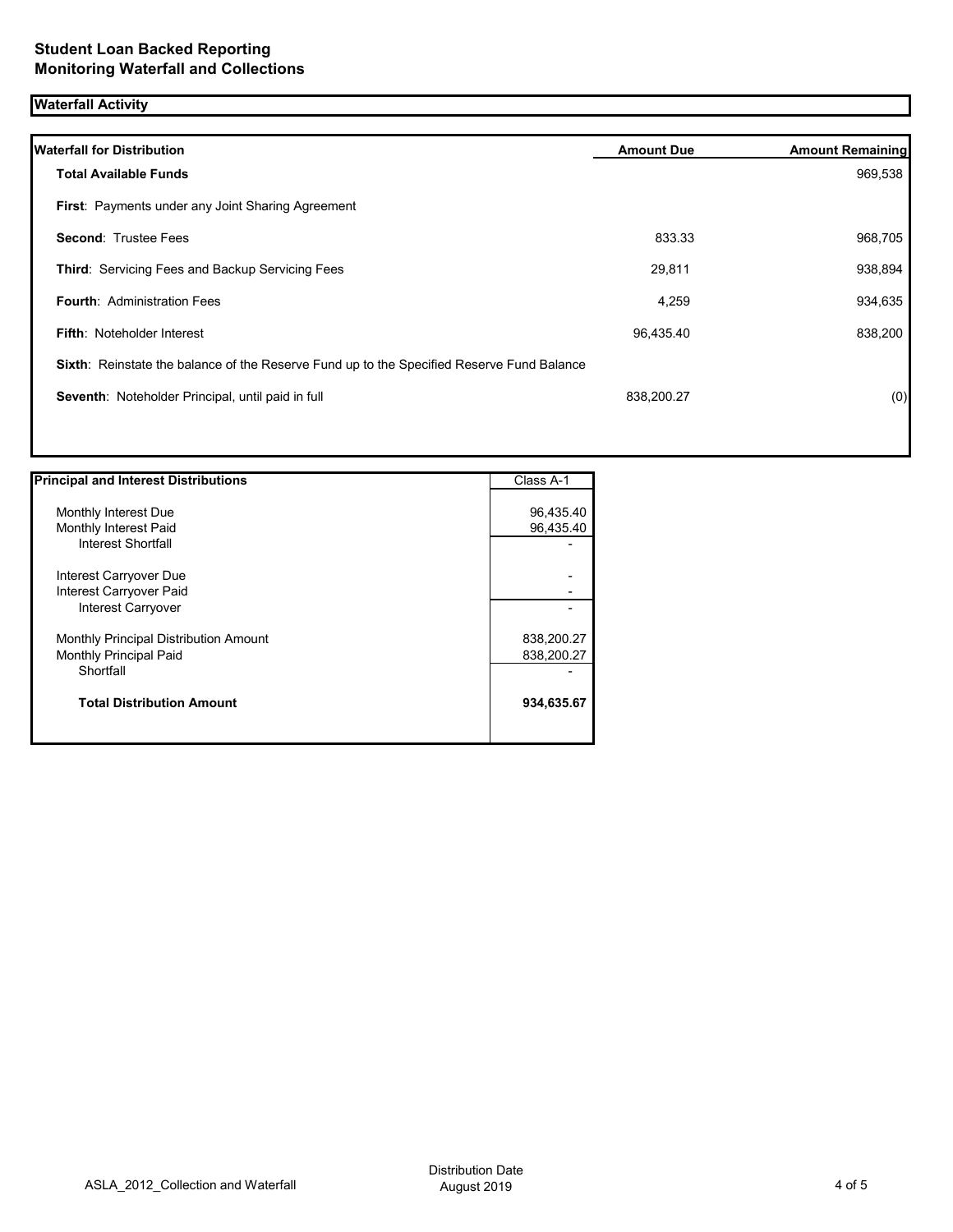# **Waterfall Activity**

| <b>Waterfall for Distribution</b>                                                         | <b>Amount Due</b> | <b>Amount Remaining</b> |
|-------------------------------------------------------------------------------------------|-------------------|-------------------------|
| <b>Total Available Funds</b>                                                              |                   | 969,538                 |
| <b>First: Payments under any Joint Sharing Agreement</b>                                  |                   |                         |
| <b>Second: Trustee Fees</b>                                                               | 833.33            | 968,705                 |
| Third: Servicing Fees and Backup Servicing Fees                                           | 29,811            | 938,894                 |
| <b>Fourth: Administration Fees</b>                                                        | 4,259             | 934,635                 |
| <b>Fifth: Noteholder Interest</b>                                                         | 96,435.40         | 838,200                 |
| Sixth: Reinstate the balance of the Reserve Fund up to the Specified Reserve Fund Balance |                   |                         |
| Seventh: Noteholder Principal, until paid in full                                         | 838,200.27        | (0)                     |
|                                                                                           |                   |                         |
|                                                                                           |                   |                         |

| <b>Principal and Interest Distributions</b>                                         | Class A-1                |
|-------------------------------------------------------------------------------------|--------------------------|
| Monthly Interest Due<br>Monthly Interest Paid<br>Interest Shortfall                 | 96,435.40<br>96,435.40   |
| Interest Carryover Due<br>Interest Carryover Paid<br>Interest Carryover             |                          |
| Monthly Principal Distribution Amount<br><b>Monthly Principal Paid</b><br>Shortfall | 838,200.27<br>838,200.27 |
| <b>Total Distribution Amount</b>                                                    | 934,635.67               |